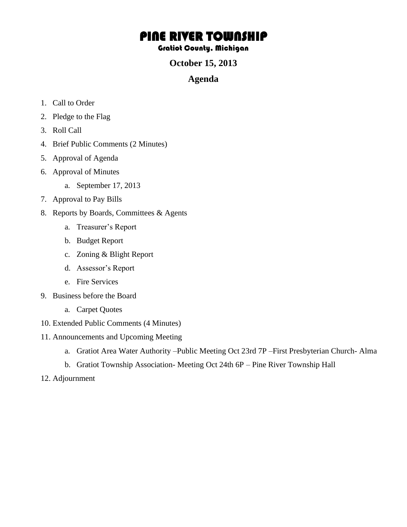# PINE RIVER TOWNSHIP

#### Gratiot County, Michigan

### **October 15, 2013**

#### **Agenda**

- 1. Call to Order
- 2. Pledge to the Flag
- 3. Roll Call
- 4. Brief Public Comments (2 Minutes)
- 5. Approval of Agenda
- 6. Approval of Minutes
	- a. September 17, 2013
- 7. Approval to Pay Bills
- 8. Reports by Boards, Committees & Agents
	- a. Treasurer's Report
	- b. Budget Report
	- c. Zoning & Blight Report
	- d. Assessor's Report
	- e. Fire Services
- 9. Business before the Board
	- a. Carpet Quotes
- 10. Extended Public Comments (4 Minutes)
- 11. Announcements and Upcoming Meeting
	- a. Gratiot Area Water Authority –Public Meeting Oct 23rd 7P –First Presbyterian Church- Alma
	- b. Gratiot Township Association- Meeting Oct 24th 6P Pine River Township Hall
- 12. Adjournment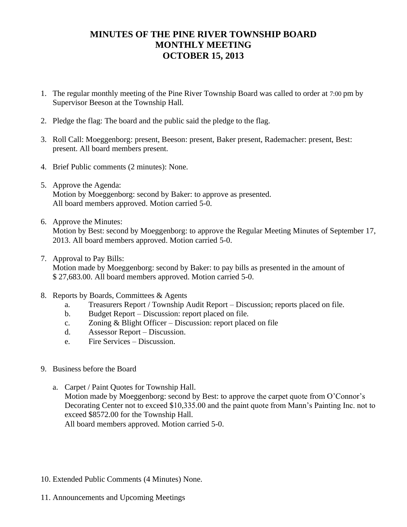## **MINUTES OF THE PINE RIVER TOWNSHIP BOARD MONTHLY MEETING OCTOBER 15, 2013**

- 1. The regular monthly meeting of the Pine River Township Board was called to order at 7:00 pm by Supervisor Beeson at the Township Hall.
- 2. Pledge the flag: The board and the public said the pledge to the flag.
- 3. Roll Call: Moeggenborg: present, Beeson: present, Baker present, Rademacher: present, Best: present. All board members present.
- 4. Brief Public comments (2 minutes): None.
- 5. Approve the Agenda: Motion by Moeggenborg: second by Baker: to approve as presented. All board members approved. Motion carried 5-0.
- 6. Approve the Minutes:

Motion by Best: second by Moeggenborg: to approve the Regular Meeting Minutes of September 17, 2013. All board members approved. Motion carried 5-0.

7. Approval to Pay Bills:

Motion made by Moeggenborg: second by Baker: to pay bills as presented in the amount of \$ 27,683.00. All board members approved. Motion carried 5-0.

- 8. Reports by Boards, Committees & Agents
	- a. Treasurers Report / Township Audit Report Discussion; reports placed on file.
	- b. Budget Report Discussion: report placed on file.
	- c. Zoning & Blight Officer Discussion: report placed on file
	- d. Assessor Report Discussion.
	- e. Fire Services Discussion.
- 9. Business before the Board
	- a. Carpet / Paint Quotes for Township Hall. Motion made by Moeggenborg: second by Best: to approve the carpet quote from O'Connor's Decorating Center not to exceed \$10,335.00 and the paint quote from Mann's Painting Inc. not to exceed \$8572.00 for the Township Hall. All board members approved. Motion carried 5-0.
- 10. Extended Public Comments (4 Minutes) None.
- 11. Announcements and Upcoming Meetings